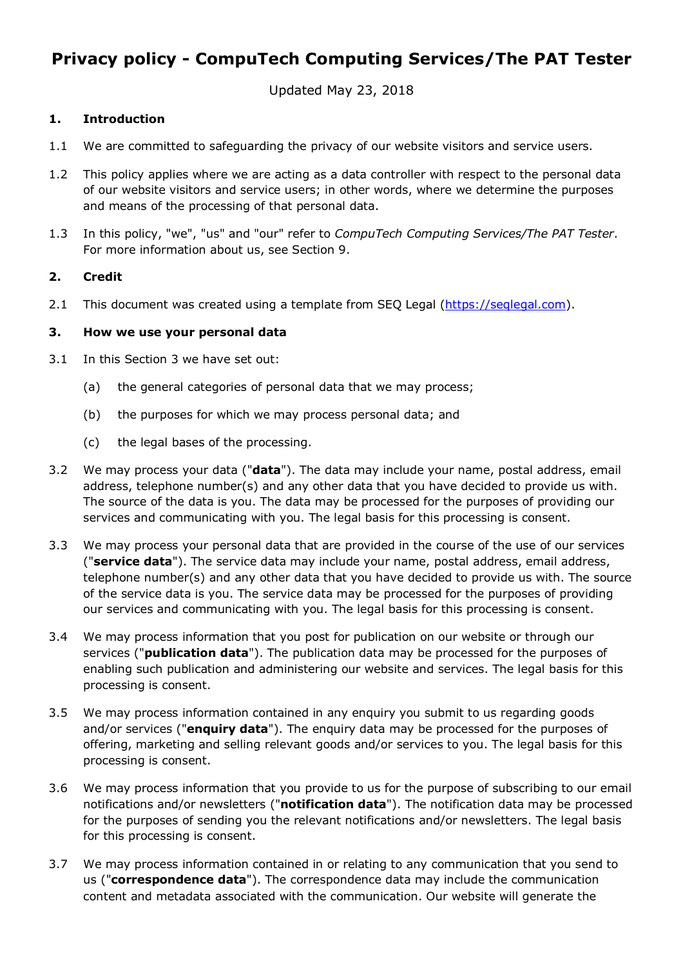# **Privacy policy - CompuTech Computing Services/The PAT Tester**

Updated May 23, 2018

#### **1. Introduction**

- 1.1 We are committed to safeguarding the privacy of our website visitors and service users.
- 1.2 This policy applies where we are acting as a data controller with respect to the personal data of our website visitors and service users; in other words, where we determine the purposes and means of the processing of that personal data.
- 1.3 In this policy, "we", "us" and "our" refer to *CompuTech Computing Services/The PAT Tester*. For more information about us, see Section 9.

## **2. Credit**

2.1 This document was created using a template from SEQ Legal (https://seqlegal.com).

#### **3. How we use your personal data**

- 3.1 In this Section 3 we have set out:
	- (a) the general categories of personal data that we may process;
	- (b) the purposes for which we may process personal data; and
	- (c) the legal bases of the processing.
- 3.2 We may process your data ("**data**"). The data may include your name, postal address, email address, telephone number(s) and any other data that you have decided to provide us with. The source of the data is you. The data may be processed for the purposes of providing our services and communicating with you. The legal basis for this processing is consent.
- 3.3 We may process your personal data that are provided in the course of the use of our services ("**service data**"). The service data may include your name, postal address, email address, telephone number(s) and any other data that you have decided to provide us with. The source of the service data is you. The service data may be processed for the purposes of providing our services and communicating with you. The legal basis for this processing is consent.
- 3.4 We may process information that you post for publication on our website or through our services ("**publication data**"). The publication data may be processed for the purposes of enabling such publication and administering our website and services. The legal basis for this processing is consent.
- 3.5 We may process information contained in any enquiry you submit to us regarding goods and/or services ("**enquiry data**"). The enquiry data may be processed for the purposes of offering, marketing and selling relevant goods and/or services to you. The legal basis for this processing is consent.
- 3.6 We may process information that you provide to us for the purpose of subscribing to our email notifications and/or newsletters ("**notification data**"). The notification data may be processed for the purposes of sending you the relevant notifications and/or newsletters. The legal basis for this processing is consent.
- 3.7 We may process information contained in or relating to any communication that you send to us ("**correspondence data**"). The correspondence data may include the communication content and metadata associated with the communication. Our website will generate the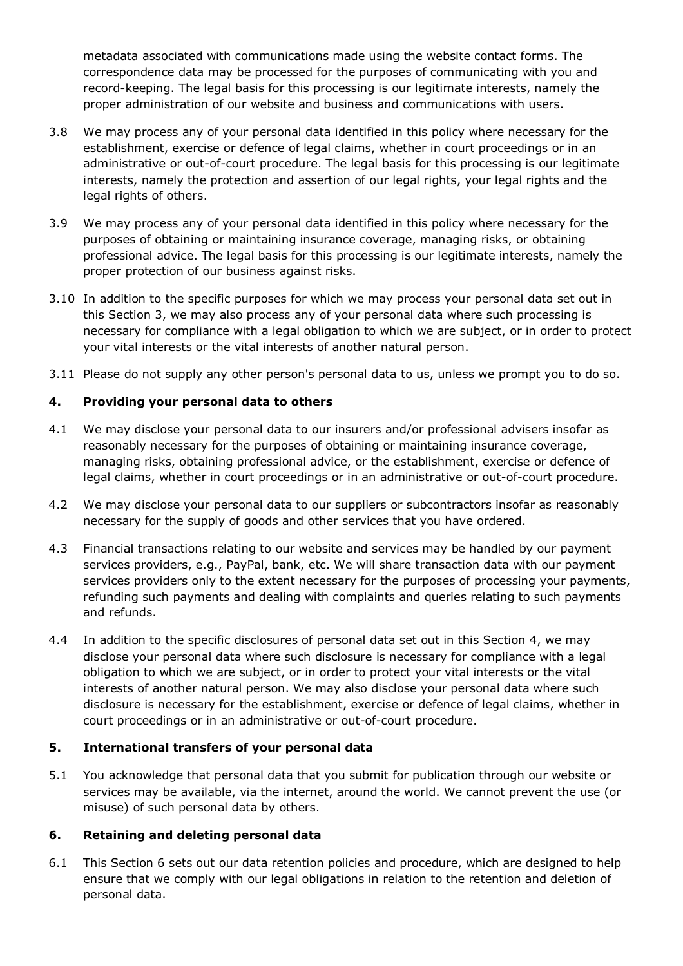metadata associated with communications made using the website contact forms. The correspondence data may be processed for the purposes of communicating with you and record-keeping. The legal basis for this processing is our legitimate interests, namely the proper administration of our website and business and communications with users.

- 3.8 We may process any of your personal data identified in this policy where necessary for the establishment, exercise or defence of legal claims, whether in court proceedings or in an administrative or out-of-court procedure. The legal basis for this processing is our legitimate interests, namely the protection and assertion of our legal rights, your legal rights and the legal rights of others.
- 3.9 We may process any of your personal data identified in this policy where necessary for the purposes of obtaining or maintaining insurance coverage, managing risks, or obtaining professional advice. The legal basis for this processing is our legitimate interests, namely the proper protection of our business against risks.
- 3.10 In addition to the specific purposes for which we may process your personal data set out in this Section 3, we may also process any of your personal data where such processing is necessary for compliance with a legal obligation to which we are subject, or in order to protect your vital interests or the vital interests of another natural person.
- 3.11 Please do not supply any other person's personal data to us, unless we prompt you to do so.

# **4. Providing your personal data to others**

- 4.1 We may disclose your personal data to our insurers and/or professional advisers insofar as reasonably necessary for the purposes of obtaining or maintaining insurance coverage, managing risks, obtaining professional advice, or the establishment, exercise or defence of legal claims, whether in court proceedings or in an administrative or out-of-court procedure.
- 4.2 We may disclose your personal data to our suppliers or subcontractors insofar as reasonably necessary for the supply of goods and other services that you have ordered.
- 4.3 Financial transactions relating to our website and services may be handled by our payment services providers, e.g., PayPal, bank, etc. We will share transaction data with our payment services providers only to the extent necessary for the purposes of processing your payments, refunding such payments and dealing with complaints and queries relating to such payments and refunds.
- 4.4 In addition to the specific disclosures of personal data set out in this Section 4, we may disclose your personal data where such disclosure is necessary for compliance with a legal obligation to which we are subject, or in order to protect your vital interests or the vital interests of another natural person. We may also disclose your personal data where such disclosure is necessary for the establishment, exercise or defence of legal claims, whether in court proceedings or in an administrative or out-of-court procedure.

#### **5. International transfers of your personal data**

5.1 You acknowledge that personal data that you submit for publication through our website or services may be available, via the internet, around the world. We cannot prevent the use (or misuse) of such personal data by others.

#### **6. Retaining and deleting personal data**

6.1 This Section 6 sets out our data retention policies and procedure, which are designed to help ensure that we comply with our legal obligations in relation to the retention and deletion of personal data.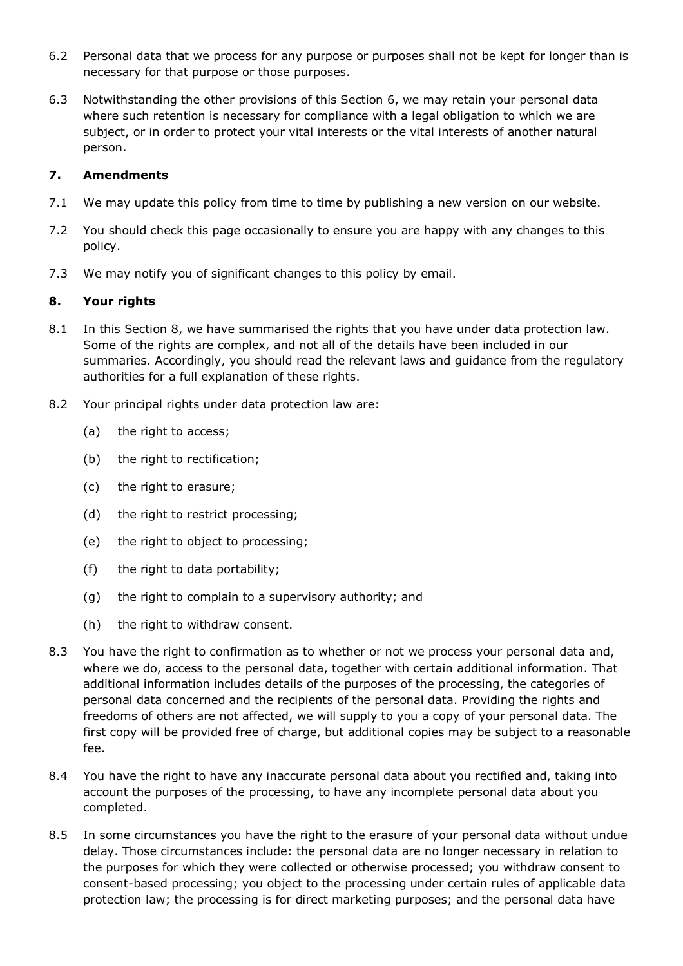- 6.2 Personal data that we process for any purpose or purposes shall not be kept for longer than is necessary for that purpose or those purposes.
- 6.3 Notwithstanding the other provisions of this Section 6, we may retain your personal data where such retention is necessary for compliance with a legal obligation to which we are subject, or in order to protect your vital interests or the vital interests of another natural person.

#### **7. Amendments**

- 7.1 We may update this policy from time to time by publishing a new version on our website.
- 7.2 You should check this page occasionally to ensure you are happy with any changes to this policy.
- 7.3 We may notify you of significant changes to this policy by email.

## **8. Your rights**

- 8.1 In this Section 8, we have summarised the rights that you have under data protection law. Some of the rights are complex, and not all of the details have been included in our summaries. Accordingly, you should read the relevant laws and guidance from the regulatory authorities for a full explanation of these rights.
- 8.2 Your principal rights under data protection law are:
	- (a) the right to access;
	- (b) the right to rectification;
	- (c) the right to erasure;
	- (d) the right to restrict processing;
	- (e) the right to object to processing;
	- (f) the right to data portability;
	- (g) the right to complain to a supervisory authority; and
	- (h) the right to withdraw consent.
- 8.3 You have the right to confirmation as to whether or not we process your personal data and, where we do, access to the personal data, together with certain additional information. That additional information includes details of the purposes of the processing, the categories of personal data concerned and the recipients of the personal data. Providing the rights and freedoms of others are not affected, we will supply to you a copy of your personal data. The first copy will be provided free of charge, but additional copies may be subject to a reasonable fee.
- 8.4 You have the right to have any inaccurate personal data about you rectified and, taking into account the purposes of the processing, to have any incomplete personal data about you completed.
- 8.5 In some circumstances you have the right to the erasure of your personal data without undue delay. Those circumstances include: the personal data are no longer necessary in relation to the purposes for which they were collected or otherwise processed; you withdraw consent to consent-based processing; you object to the processing under certain rules of applicable data protection law; the processing is for direct marketing purposes; and the personal data have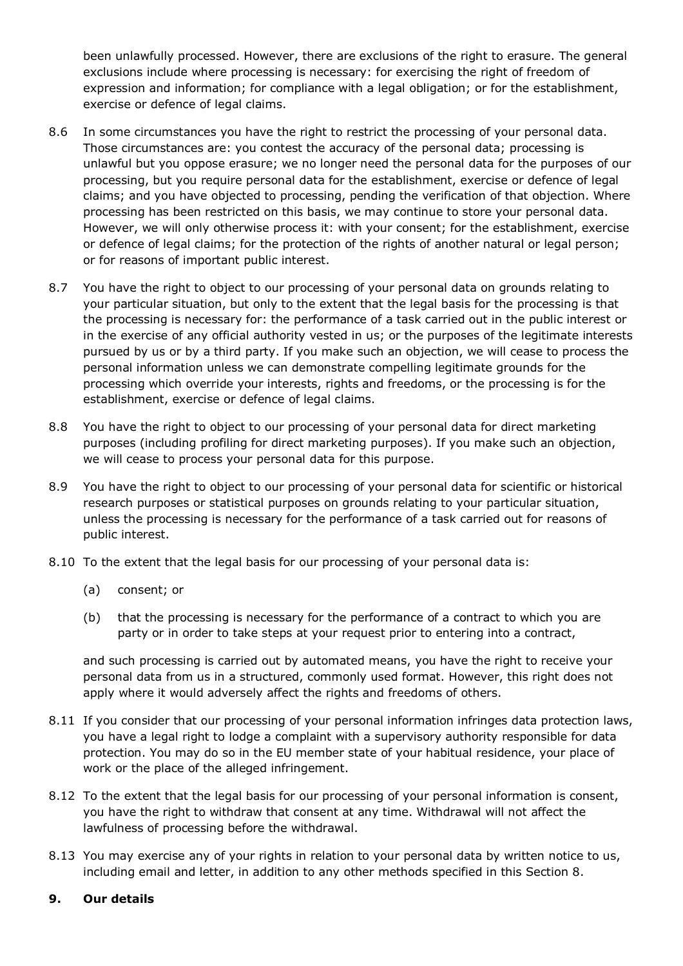been unlawfully processed. However, there are exclusions of the right to erasure. The general exclusions include where processing is necessary: for exercising the right of freedom of expression and information; for compliance with a legal obligation; or for the establishment, exercise or defence of legal claims.

- 8.6 In some circumstances you have the right to restrict the processing of your personal data. Those circumstances are: you contest the accuracy of the personal data; processing is unlawful but you oppose erasure; we no longer need the personal data for the purposes of our processing, but you require personal data for the establishment, exercise or defence of legal claims; and you have objected to processing, pending the verification of that objection. Where processing has been restricted on this basis, we may continue to store your personal data. However, we will only otherwise process it: with your consent; for the establishment, exercise or defence of legal claims; for the protection of the rights of another natural or legal person; or for reasons of important public interest.
- 8.7 You have the right to object to our processing of your personal data on grounds relating to your particular situation, but only to the extent that the legal basis for the processing is that the processing is necessary for: the performance of a task carried out in the public interest or in the exercise of any official authority vested in us; or the purposes of the legitimate interests pursued by us or by a third party. If you make such an objection, we will cease to process the personal information unless we can demonstrate compelling legitimate grounds for the processing which override your interests, rights and freedoms, or the processing is for the establishment, exercise or defence of legal claims.
- 8.8 You have the right to object to our processing of your personal data for direct marketing purposes (including profiling for direct marketing purposes). If you make such an objection, we will cease to process your personal data for this purpose.
- 8.9 You have the right to object to our processing of your personal data for scientific or historical research purposes or statistical purposes on grounds relating to your particular situation, unless the processing is necessary for the performance of a task carried out for reasons of public interest.
- 8.10 To the extent that the legal basis for our processing of your personal data is:
	- (a) consent; or
	- (b) that the processing is necessary for the performance of a contract to which you are party or in order to take steps at your request prior to entering into a contract,

 and such processing is carried out by automated means, you have the right to receive your personal data from us in a structured, commonly used format. However, this right does not apply where it would adversely affect the rights and freedoms of others.

- 8.11 If you consider that our processing of your personal information infringes data protection laws, you have a legal right to lodge a complaint with a supervisory authority responsible for data protection. You may do so in the EU member state of your habitual residence, your place of work or the place of the alleged infringement.
- 8.12 To the extent that the legal basis for our processing of your personal information is consent, you have the right to withdraw that consent at any time. Withdrawal will not affect the lawfulness of processing before the withdrawal.
- 8.13 You may exercise any of your rights in relation to your personal data by written notice to us, including email and letter, in addition to any other methods specified in this Section 8.

#### **9. Our details**